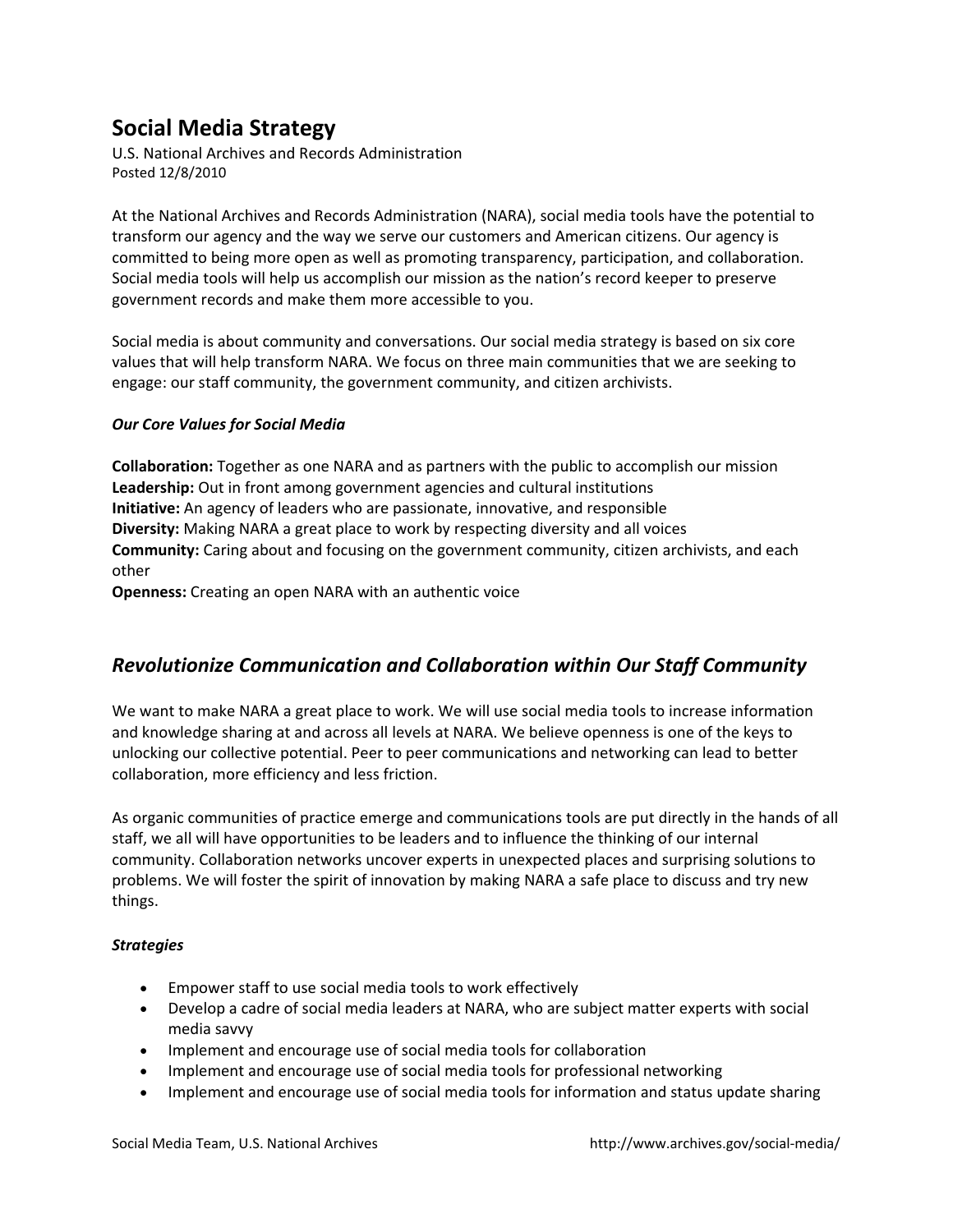# **Social Media Strategy**

 U.S. National Archives and Records Administration Posted 12/8/2010

 At the National Archives and Records Administration (NARA), social media tools have the potential to transform our agency and the way we serve our customers and American citizens. Our agency is committed to being more open as well as promoting transparency, participation, and collaboration. Social media tools will help us accomplish our mission as the nation's record keeper to preserve government records and make them more accessible to you.

 Social media is about community and conversations. Our social media strategy is based on six core values that will help transform NARA. We focus on three main communities that we are seeking to engage: our staff community, the government community, and citizen archivists.

### *Our Core Values for Social Media*

 **Collaboration:** Together as one NARA and as partners with the public to accomplish our mission **Leadership:** Out in front among government agencies and cultural institutions **Initiative:** An agency of leaders who are passionate, innovative, and responsible **Diversity:** Making NARA a great place to work by respecting diversity and all voices **Community:** Caring about and focusing on the government community, citizen archivists, and each other

**Openness:** Creating an open NARA with an authentic voice

### *Revolutionize Communication and Collaboration within Our Staff Community*

 We want to make NARA a great place to work. We will use social media tools to increase information and knowledge sharing at and across all levels at NARA. We believe openness is one of the keys to unlocking our collective potential. Peer to peer communications and networking can lead to better collaboration, more efficiency and less friction.

 As organic communities of practice emerge and communications tools are put directly in the hands of all staff, we all will have opportunities to be leaders and to influence the thinking of our internal community. Collaboration networks uncover experts in unexpected places and surprising solutions to problems. We will foster the spirit of innovation by making NARA a safe place to discuss and try new things.

#### *Strategies*

- Empower staff to use social media tools to work effectively
- Develop a cadre of social media leaders at NARA, who are subject matter experts with social media savvy
- Implement and encourage use of social media tools for collaboration
- Implement and encourage use of social media tools for professional networking
- Implement and encourage use of social media tools for information and status update sharing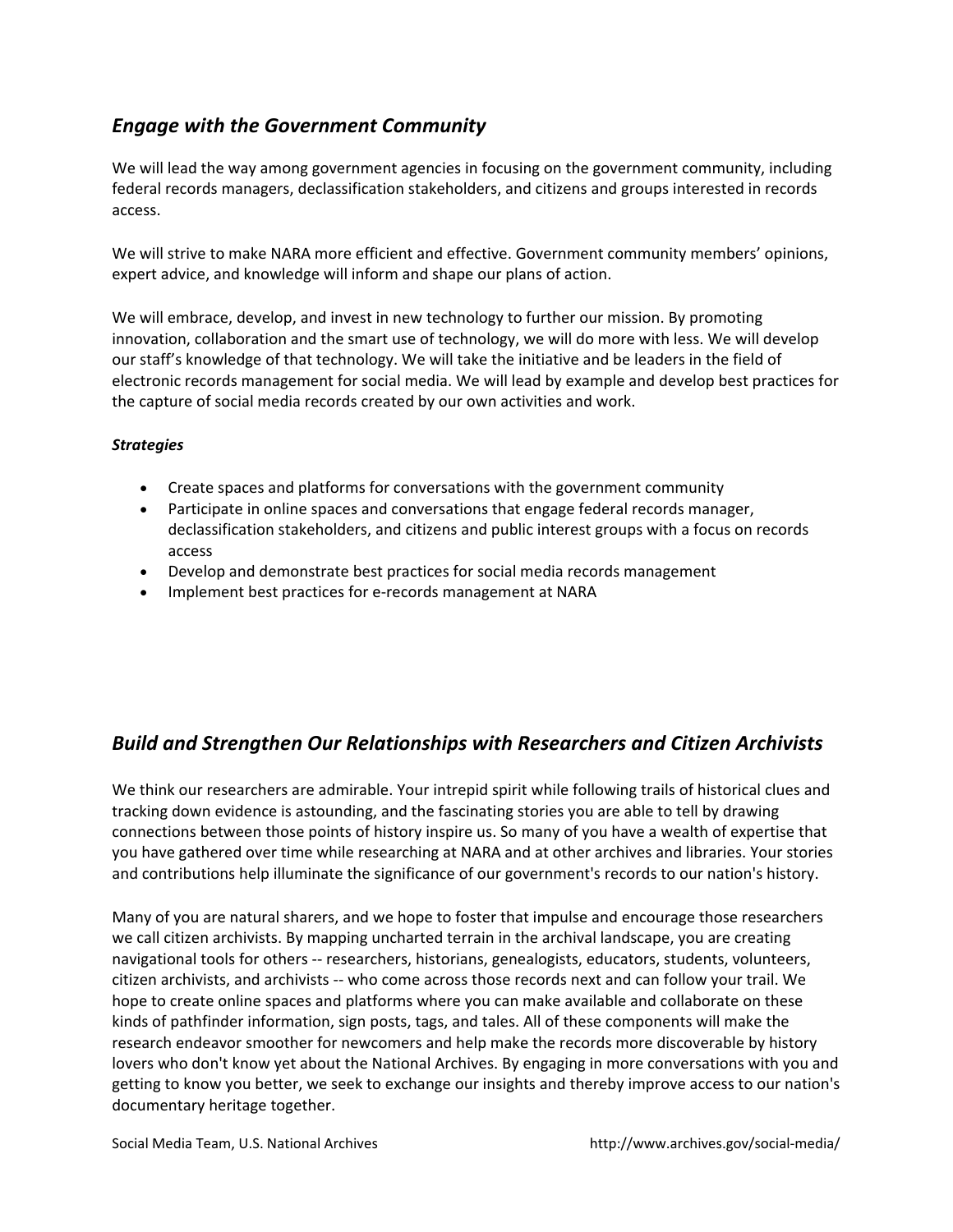### *Engage with the Government Community*

 We will lead the way among government agencies in focusing on the government community, including federal records managers, declassification stakeholders, and citizens and groups interested in records access.

 We will strive to make NARA more efficient and effective. Government community members' opinions, expert advice, and knowledge will inform and shape our plans of action.

 We will embrace, develop, and invest in new technology to further our mission. By promoting innovation, collaboration and the smart use of technology, we will do more with less. We will develop our staff's knowledge of that technology. We will take the initiative and be leaders in the field of electronic records management for social media. We will lead by example and develop best practices for the capture of social media records created by our own activities and work.

### *Strategies*

- Create spaces and platforms for conversations with the government community
- Participate in online spaces and conversations that engage federal records manager, declassification stakeholders, and citizens and public interest groups with a focus on records access
- Develop and demonstrate best practices for social media records management
- Implement best practices for e-records management at NARA

## *Build and Strengthen Our Relationships with Researchers and Citizen Archivists*

 We think our researchers are admirable. Your intrepid spirit while following trails of historical clues and tracking down evidence is astounding, and the fascinating stories you are able to tell by drawing connections between those points of history inspire us. So many of you have a wealth of expertise that you have gathered over time while researching at NARA and at other archives and libraries. Your stories and contributions help illuminate the significance of our government's records to our nation's history.

 Many of you are natural sharers, and we hope to foster that impulse and encourage those researchers we call citizen archivists. By mapping uncharted terrain in the archival landscape, you are creating navigational tools for others ‐‐ researchers, historians, genealogists, educators, students, volunteers, citizen archivists, and archivists ‐‐ who come across those records next and can follow your trail. We hope to create online spaces and platforms where you can make available and collaborate on these kinds of pathfinder information, sign posts, tags, and tales. All of these components will make the research endeavor smoother for newcomers and help make the records more discoverable by history lovers who don't know yet about the National Archives. By engaging in more conversations with you and getting to know you better, we seek to exchange our insights and thereby improve access to our nation's documentary heritage together.